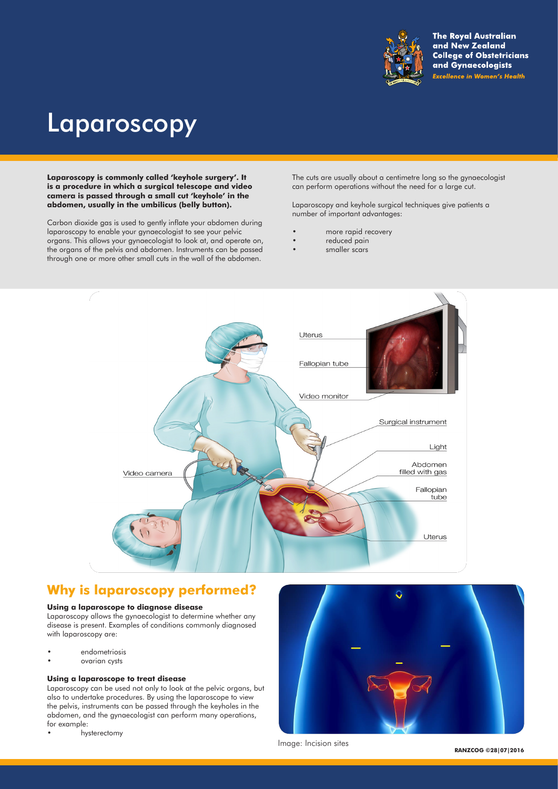

**The Royal Australian** and New Zealand **College of Obstetricians** and Gynaecologists **Excellence in Women's Health** 

# Laparoscopy

**Laparoscopy is commonly called 'keyhole surgery'. It is a procedure in which a surgical telescope and video camera is passed through a small cut 'keyhole' in the abdomen, usually in the umbilicus (belly button).** 

Carbon dioxide gas is used to gently inflate your abdomen during laparoscopy to enable your gynaecologist to see your pelvic organs. This allows your gynaecologist to look at, and operate on, the organs of the pelvis and abdomen. Instruments can be passed through one or more other small cuts in the wall of the abdomen.

The cuts are usually about a centimetre long so the gynaecologist can perform operations without the need for a large cut.

Laparoscopy and keyhole surgical techniques give patients a number of important advantages:

- more rapid recovery
- reduced pain
- smaller scars



## **Why is laparoscopy performed?**

#### **Using a laparoscope to diagnose disease**

Laparoscopy allows the gynaecologist to determine whether any disease is present. Examples of conditions commonly diagnosed with laparoscopy are:

- endometriosis
- ovarian cysts

#### **Using a laparoscope to treat disease**

Laparoscopy can be used not only to look at the pelvic organs, but also to undertake procedures. By using the laparoscope to view the pelvis, instruments can be passed through the keyholes in the abdomen, and the gynaecologist can perform many operations, for example:

• hysterectomy



Image: Incision sites